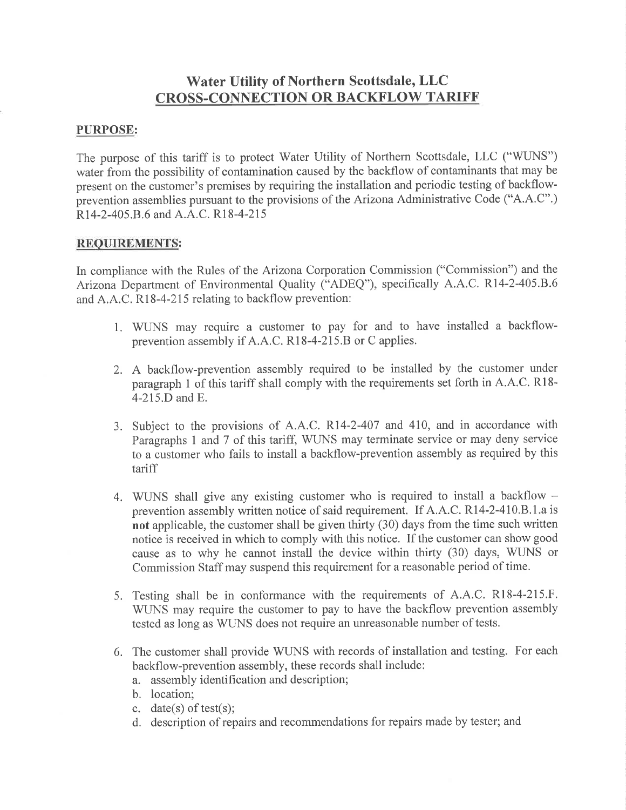# Water Utility of Northern Scottsdale, LLC CROSS.CONNECTION OR BACKFLOW TARIFF

# PURPOSE:

The purpose of this tariff is to protect Water Utility of Northern Scottsdale, LLC ("WUNS") water from the possibility of contamination caused by the backflow of contaminants that may be present on the customer's premises by requiring the installation and periodic testing of backflowprevention assemblies pursuant to the provisions of the Arizona Administrative Code ("4.4.C".) R<sub>14</sub>-2-405.B.6 and A.A.C. R<sub>18</sub>-4-215

#### REQUIREMENTS:

In compliance with the Rules of the Arizona Corporation Commission ("Commission") and the Arizona Department of Environmental Quality ("ADEQ"), specifically A.A.C. R14-2-405.B.6 and A.A.C. R18-4-215 relating to backflow prevention:

- 1. WLrNS may require a customer to pay for and to have installed a backflowprevention assembly if A.A.C. R18-4-215.B or C applies.
- 2. A backflow-prevention assembly required to be installed by the customer under paragraph 1 of this tariff shall comply with the requirements set forth in A.A.C. Rl8- 4-215.D and E.
- 3. Subject to the provisions of A.A.C. Rl4-2-407 and 410, and in accordance with Paragraphs 1 and 7 of this tariff, WUNS may terminate service or may deny service to a customer who fails to install a backflow-prevention assembly as required by this tariff
- 4. WUNS shall give any existing customer who is required to install a backflow  $$ prevention assembly written notice of said requirement. If A.A.C.RI4-2-4I0.8.1.a is not applicable, the customer shall be given thirty (30) days from the time such written notice is received in which to comply with this notice. If the customer can show good cause as to why he cannot install the device within thirty (30) days, WIINS or Commission Staff may suspend this requirement for a reasonable period of time.
- 5. Testing shall be in conformance with the requirements of A.A.C. Rl8-4-215.F. WTINS may require the customer to pay to have the backflow prevention assembly tested as long as WUNS does not require an unreasonable number of tests.
- 6. The customer shall provide WLINS with records of installation and testing. For each backflow-prevention assembly, these records shall include:
	- a. assembly identification and description;
	- b. location;
	- c. date(s) of test(s);
	- d. description of repairs and recommendations for repairs made by tester; and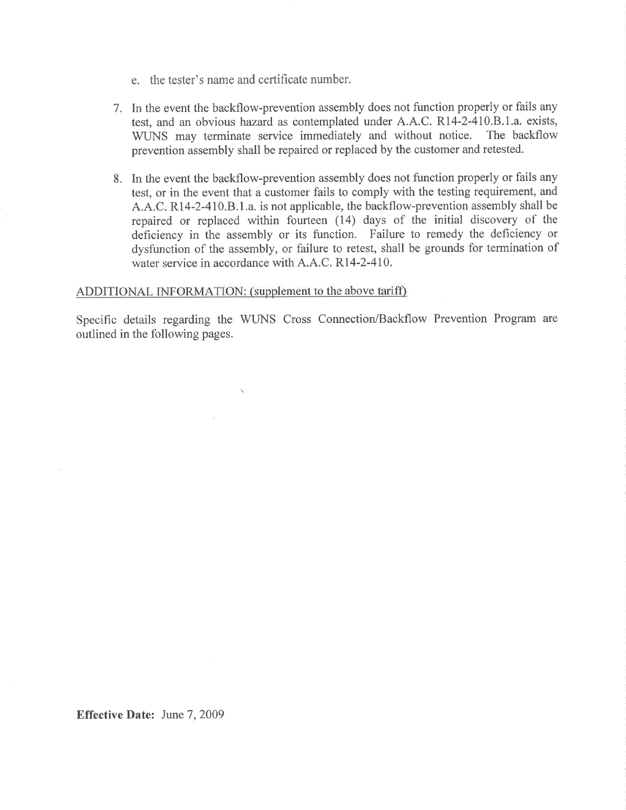- e. the tester's name and certificate number.
- 1. In the event the backflow-prevention assembly does not function properly or fails any test, and an obvious hazard as contemplated under A.A.C. Rl4-2-410.8.1.a. exists, WUNS may terminate service immediately and without notice. The backflow prevention assembly shall be repaired or replaced by the customer and retested.
- 8. In the event the backflow-prevention assembly does not function properly or fails any test, or in the event that a customer fails to comply with the testing requirement, and A.A.C. RI4-2-4I0.8.1.a. is not applicable, the backflow-prevention assembly shall be repaired or replaced within fourteen (14) days of the initial discovery of the deficiency in the assembly or its function. Failure to remedy the deficiency or dysfunction of the assembly, or failure to retest, shall be grounds for termination of water service in accordance with A.A.C. R14-2-410.

#### ADDITIONAL INFORMATION: (supplement to the above tariff)

 $\mathcal{N}$ 

 $\sim 10^{-11}$ 

Specific details regarding the WIINS Cross Connection/Backflow Prevention Program are outlined in the following pages.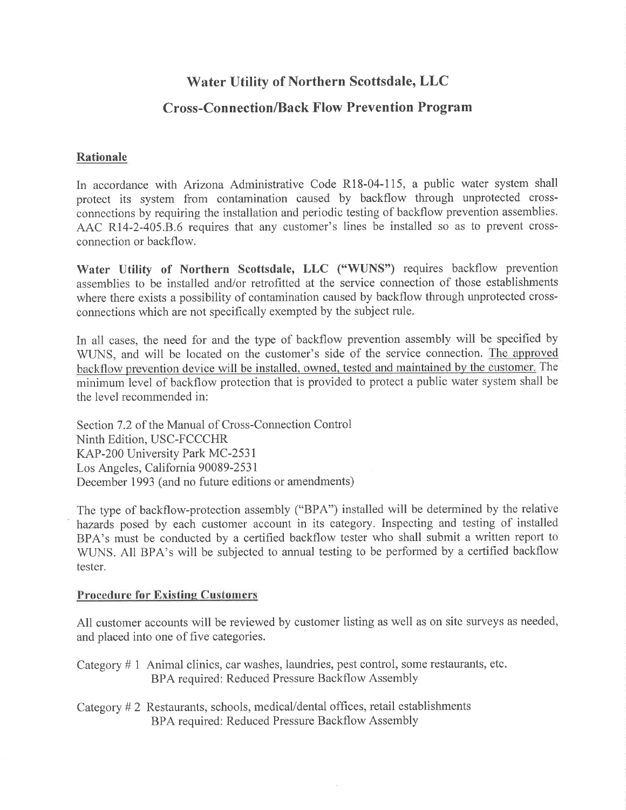# Water Utility of Northern Scottsdale, LLC

# Cross-Con nection/Back Flow Prevention Program

# Rationale

In accordance with Arizona Administrative Code R18-04-1I5, a public water system shall protect its system from contamination caused by backflow through unprotected crossconnections by requiring the installation and periodic testing of backflow prevention assemblies. AAC R14-2-405.8.6 requires that any customer's lines be installed so as to prevent crossconnection or backflow.

Water Utility of Northern Scottsdale, LLC ("WUNS") requires backflow prevention assemblies to be installed and/or retrofitted at the service connection of those establishments where there exists a possibility of contamination caused by backflow through unprotected crossconnections which are not specifically exempted by the subject rule.

In all cases, the need for and the type of backflow prevention assembly will be specified by WLINS, and will be located on the customer's side of the service connection. The approved backflow prevention device will be installed. owned. tested and maintained by the customer. The minimum level of backflow protection that is provided to protect a public water system shall be the level recommended in:

Section 7.2 of the Manual of Cross-Connection Control Ninth Edition, USC-FCCCHR KAP-200 University Park MC-2531 Los Angeles, California 90089-2531 December 1993 (and no future editions or amendments)

The type of backflow-protection assembly ("BPA") installed will be determined by the relative hazards posed by each customer account in its category. Inspecting and testing of installed BPA's must be conducted by a certified backflow tester who shall submit a written report to WUNS. All BPA's will be subjected to annual testing to be performed by a certified backflow tester.

## Procedure for Existing Customers

All customer accounts will be reviewed by customer listing as well as on site surveys as needed, and placed into one of five categories.

Category # 1 Animal clinics, car washes, laundries, pest control, some restaurants, etc. BPA required: Reduced Pressure Backflow Assembly

Category # 2 Restaurants, schools, medical/dental offtces, retail establishments BPA required: Reduced Pressure Backflow Assembly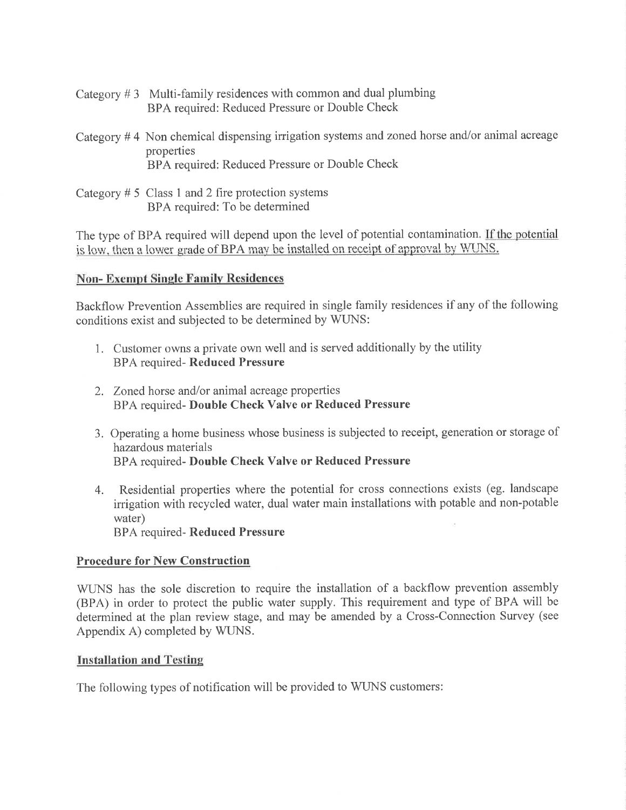- Category  $# 3$  Multi-family residences with common and dual plumbing BPA required: Reduced Pressure or Double Check
- Category  $# 4$  Non chemical dispensing irrigation systems and zoned horse and/or animal acreage properties BPA required: Reduced Pressure or Double Check
- Category  $# 5$  Class 1 and 2 fire protection systems BPA required: To be determined

The type of BPA required will depend upon the level of potential contamination. If the potential is low, then a lower grade of BPA may be installed on receipt of approval by WUNS

# **Non-Exempt Single Family Residences**

Backflow Prevention Assemblies are required in single family residences if any of the following conditions exist and subjected to be determined by WUNS:

- 1. Customer owns a private own well and is served additionally by the utility BPA required- Reduced Pressure
- 2. Zoned horse and/or animal acreage properties BPA required- Double Check Valve or Reduced Pressure
- 3. Operating a home business whose business is subjected to receipt, generation or storage of hazardous materials BPA required- Double Check Valve or Reduced Pressure
- 4. Residential properties where the potential for cross connections exists (eg. landscape irrigation with recycled water, dual water main installations with potable and non-potable water) BPA required- Reduced Pressure

Procedure for New Construction

WUNS has the sole discretion to require the installation of a backflow prevention assembly (BPA) in order to protect the public water supply. This requirement and type of BPA will be determined at the plan review stage, and may be amended by a Cross-Connection Survey (see Appendix A) completed by WUNS.

## Installation and Testine

The following types of notification will be provided to WUNS customers: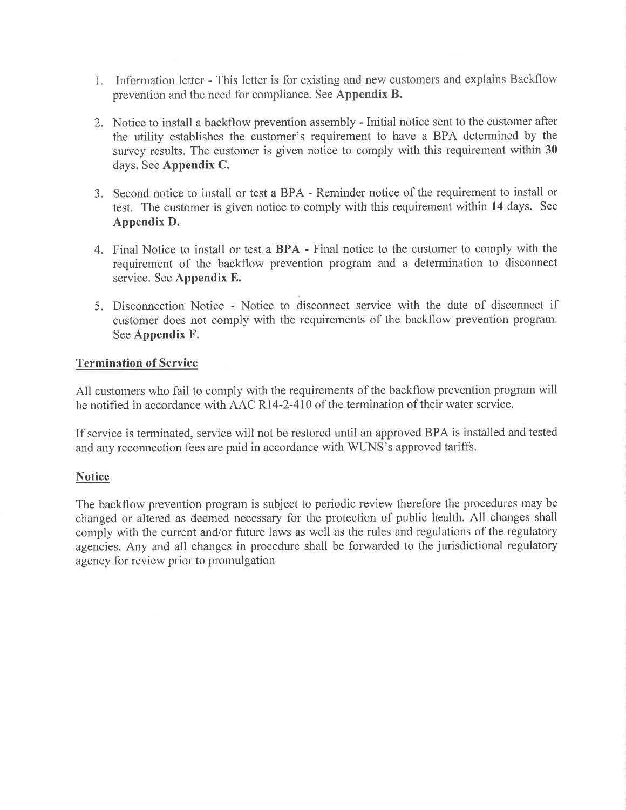- 1. Information letter This letter is for existing and new customers and explains Backflow prevention and the need for compliance. See Appendix B.
- 2. Notice to install a backflow prevention assembly Initial notice sent to the customer after the utility establishes the customer's requirement to have a BPA determined by the survey results. The customer is given notice to comply with this requirement within 30 days. See Appendix C.
- 3. Second notice to install or test a BPA Reminder notice of the requirement to install or test. The customer is given notice to comply with this requirement within 14 days. See Appendix D.
- 4. Final Notice to install or test a BPA Final notice to the customer to comply with the requirement of the backflow prevention program and a determination to disconnect service. See Appendix E.
- 5. Disconnection Notice Notice to disconnect service with the date of disconnect if customer does not comply with the requirements of the backflow prevention program. See Appendix F.

# Termination of Service

All customers who fail to comply with the requirements of the backflow prevention program will be notified in accordance with AAC Rl4-2-410 of the termination of their water service.

If service is terminated, service will not be restored until an approved BPA is installed and tested and any reconnection fees are paid in accordance with WTINS's approved tariffs.

# **Notice**

The backflow prevention program is subject to periodic review therefore the procedures may be changed or altered as deemed necessary for the protection of public health. All changes shall comply with the current and/or future laws as well as the rules and regulations of the regulatory agencies. Any and all changes in procedure shall be forwarded to the jurisdictional regulatory agency for review prior to promulgation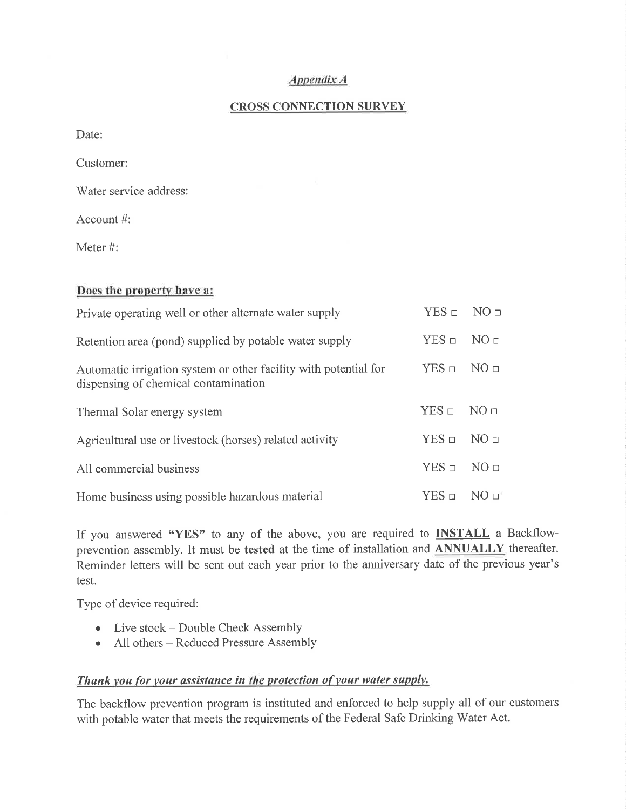## Appendíx A

## CROSS CONNECTION SURVEY

Date:

Customer:

'Water service address:

Account #:

Meter #:

|  |  | Does the property have a: |  |  |
|--|--|---------------------------|--|--|
|--|--|---------------------------|--|--|

| Private operating well or other alternate water supply                                                   | $YES =$            | NO <sub>□</sub>  |
|----------------------------------------------------------------------------------------------------------|--------------------|------------------|
| Retention area (pond) supplied by potable water supply                                                   | $YES$ $\square$    | NO <sub>II</sub> |
| Automatic irrigation system or other facility with potential for<br>dispensing of chemical contamination | $YES$ $\square$    | NO <sub>□</sub>  |
| Thermal Solar energy system                                                                              | $YES \Box NO \Box$ |                  |
| Agricultural use or livestock (horses) related activity                                                  | $YES \square$      | NO <sub>□</sub>  |
| All commercial business                                                                                  |                    | NO <sub>□</sub>  |
| Home business using possible hazardous material                                                          | $YES \square$      | $N()$ $\Box$     |

If you answered "YES" to any of the above, you are required to **INSTALL** a Backflowprevention assembly. It must be tested at the time of installation and ANNUALLY thereafter. Reminder letters will be sent out each year prior to the anniversary date of the previous year's test.

Type of device required:

- Live stock Double Check Assembly
- o All others Reduced Pressure Assembly

# Thank you for your assistance in the protection of your water supply.

The backflow prevention program is instituted and enforced to help supply all of out customers with potable water that meets the requirements of the Federal Safe Drinking Water Act.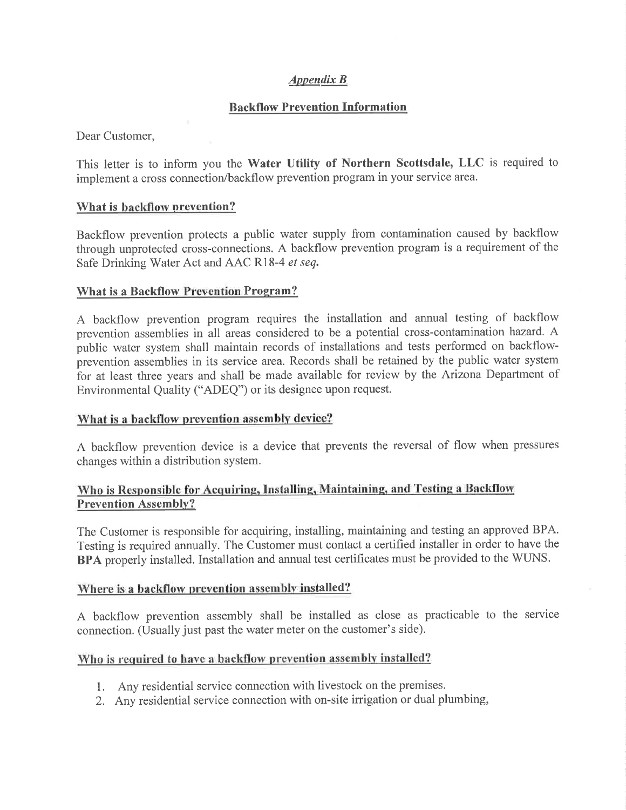# Appendíx B

# Backflow Prevention Information

Dear Customer,

This letter is to inform you the Water Utility of Northern Scottsdale, LLC is required to implement a cross connection/backflow prevention program in your service area.

## What is backflow prevention?

Backflow prevention protects a public water supply from contamination caused by backflow through unprotected cross-connections. A backflow prevention program is a requirement of the Safe Drinking Water Act and AAC R18-4 et seq.

## What is a Backflow Prevention Program?

A backflow prevention program requires the installation and annual testing of backflow prevention assemblies in all areas considered to be a potential cross-contamination hazard. A public water system shall maintain records of installations and tests performed on backflowprevention assemblies in its service area. Records shall be retained by the public water system for at least three years and shall be made available for review by the Arizona Department of Environmental Quality ("ADEQ") or its designee upon request.

## What is a backflow prevention assembly device?

A backflow prevention device is a device that prevents the reversal of flow when pressures changes within a distribution system.

# Who is Responsible for Acquiring, Installing, Maintaining, and Testing a Backflow Prevention Assembly?

The Customer is responsible for acquiring, installing, maintaining and testing an approved BPA. Testing is required annually. The Customer must contact a certified installer in order to have the BPA properly installed. Installation and annual test certificates must be provided to the WUNS.

## Where is a backflow prevention assembly installed?

A backflow prevention assembly shall be installed as close as practicable to the service connection. (Usually just past the water meter on the customer's side).

## Who is required to have a backflow prevention assembly installed?

- 1. Any residential service connection with livestock on the premises.
- 2. Any residential service connection with on-site irrigation or dual plumbing,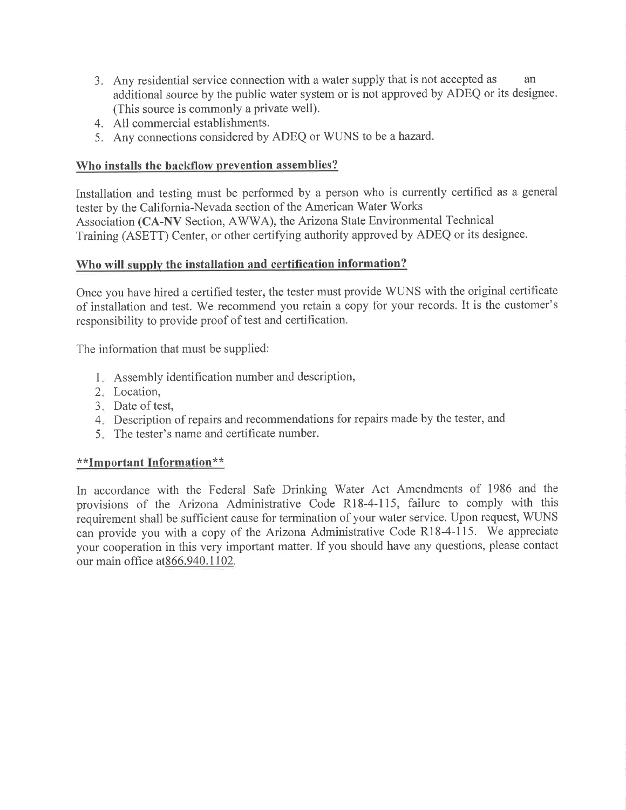- 3. Any residential service connection with a water supply that is not accepted as an additional source by the public water system or is not approved by ADEQ or its designee. (This source is commonly a private well).
- 4. All commercial establishments.
- 5. Any connections considered by ADEQ or WUNS to be a hazard.

# Who installs the backflow prevention assemblies?

Installation and testing must be performed by a person who is currently certified as a general tester by the Califomia-Nevada section of the American Water Works Association (CA-NV Section, AWWA), the Arizona State Environmental Technical Training (ASETT) Center, or other certifying authority approved by ADEQ or its designee.

# Who will supply the installation and certification information?

Once you have hired a certified tester, the tester must provide WUNS with the original certificate of installation and test. We recommend you retain a copy for your records. It is the customer's responsibility to provide proof of test and certification.

The information that must be supplied:

- Assembly identification number and description, I
- Location, 2
- Date of test, J
- Description of repairs and recommendations for repairs made by the tester, and 4
- The tester's name and certificate number. 5

# \*\*Important Information\*\*

In accordance with the Federal Safe Drinking Water Act Amendments of 1986 and the provisions of the Arizona Administrative Code R18-4-115, failure to comply with this requirement shall be sufficient cause for termination of your water service. Upon request, WTINS can provide you with a copy of the Arizona Administrative Code R18-4-I15. We appreciate your cooperation in this very important matter. If you should have any questions, please contact our main office at  $866.940.1102$ .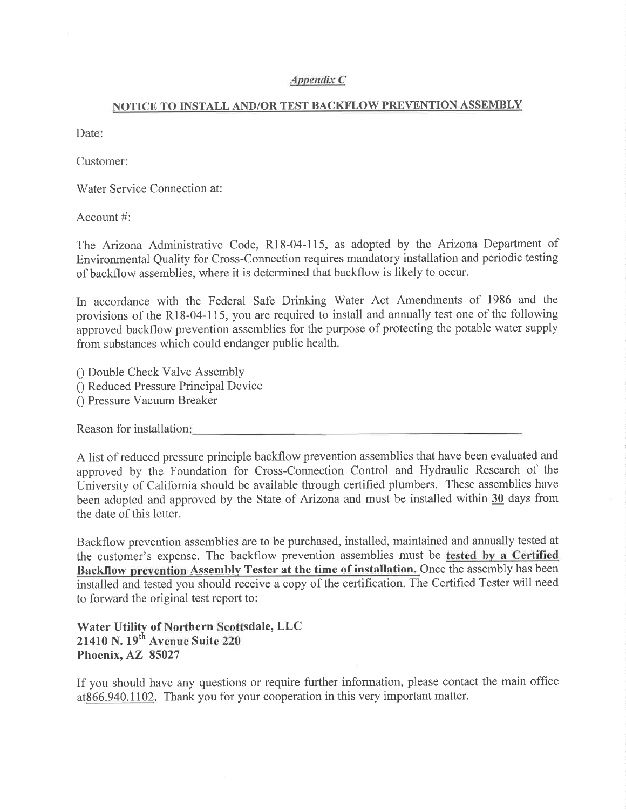#### APPendix C

#### NOTICE TO INSTALL AND/OR TEST BACKFLOW PREVENTION ASSEMBLY

Date:

Customer:

Water Service Connection at:

Account #:

The Arizona Administrative Code, Rl8-04-115, as adopted by the Arizona Department of Environmental Quality for Cross-Connection requires mandatory installation and periodic testing of backflow assemblies, where it is determined that backflow is likely to occur.

In accordance with the Federal Safe Drinking Water Act Amendments of 1986 and the provisions of the Rl8-04-115, you are required to install and annually test one of the following approved backflow prevention assemblies for the purpose of protecting the potable water supply from substances which could endanger public health.

- 0 Double Check Valve Assembly 0 Reduced Pressure Principal Device
- 0 Pressure Vacuum Breaker

Reason for installation

A list of reduced pressure principle backflow prevention assemblies that have been evaluated and approved by the Foundation for Cross-Connection Control and Hydraulic Research of the University of California should be available through certified plumbers. These assemblies have been adopted and approved by the State of Arizona and must be installed within 30 days from the date of this letter.

Backflow prevention assemblies are to be purchased, installed, maintained and annually tested at the customer's expense. The backflow prevention assemblies must be tested by a Certified Backflow prevention Assembly Tester at the time of installation. Once the assembly has been installed and tested you should receive a copy of the certification. The Certified Tester will need to forward the original test report to:

Water Utility of Northern Scottsdale, LLC 21410 N. 19<sup>th</sup> Avenue Suite 220 Phoenix, 85027 ^Z

If you should have any questions or require further information, please contact the main office at866.940.1102. Thank you for your cooperation in this very important matter.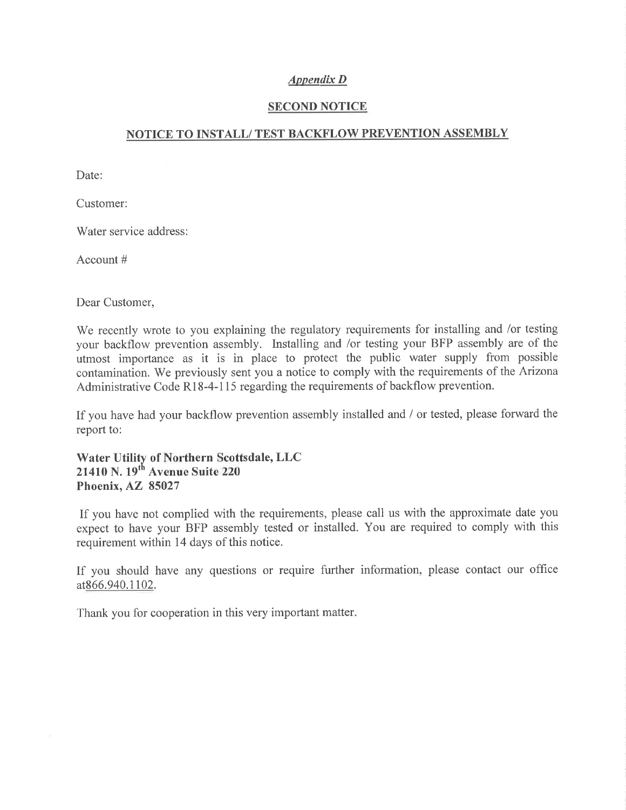## Appendix D

#### SECOND NOTICE

#### NOTICE TO INSTALL/ TEST BACKFLOW PREVENTION ASSEMBLY

Date:

Customer:

Water service address:

Account #

Dear Customer,

We recently wrote to you explaining the regulatory requirements for installing and /or testing your backflow prevention assembly. Installing and /or testing your BFP assembly are of the utmost importance as it is in place to protect the public water supply from possible contamination. We previously sent you a notice to comply with the requirements of the Arizona Administrative Code R18-4-115 regarding the requirements of backflow prevention.

If you have had your backflow prevention assembly installed and  $\ell$  or tested, please forward the report to:

Water Utility of Northern Scottsdale, LLC  $21410$  N.  $19<sup>th</sup>$  Avenue Suite 220 Phoenix, 85027  $\overline{\phantom{a}}$ 

If you have not complied with the requirements, please call us with the approximate date you expect to have your BFP assembly tested or installed. You are required to comply with this requirement within 14 days of this notice.

If you should have any questions or require further information, please contact our office at866.940.1102.

Thank you for cooperation in this very important matter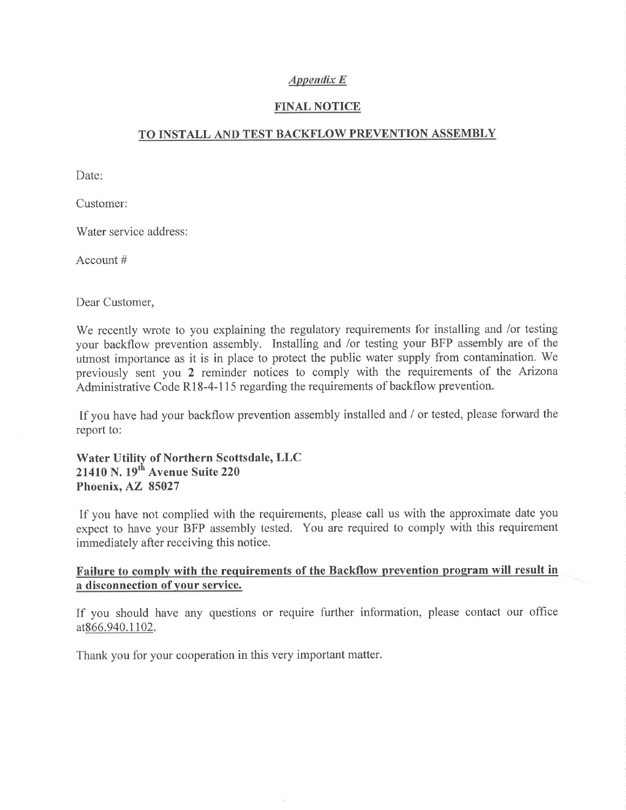#### Appendíx E

#### FINAL NOTICE

# <u>TO INSTALL AND TEST BACKFLOW PREVENTION ASSEMBLY</u>

Date:

Customer:

Water service address:

Account #

Dear Customer,

We recently wrote to you explaining the regulatory requirements for installing and /or testing your backflow prevention assembly. Installing and /or testing your BFP assembly are of the utmost importance as it is in place to protect the public water supply from contamination. We previously sent you 2 reminder notices to comply with the requirements of the Arizona Administrative Code R18-4-115 regarding the requirements of backflow prevention.

If you have had your backflow prevention assembly installed and / or tested, please forward the report to:

Water Utility of Northern Scottsdale, LLC 21410 N. 19<sup>th</sup> Avenue Suite 220 Phoenix, AZ 85027

If you have not complied with the requirements, please call us with the approximate date you expect to have your BFP assembly tested. You are required to comply with this requirement immediately after receiving this notice.

# Failure to comply with the requirements of the Backflow prevention program will result in a disconnection of your service.

If you should have any questions or require further information, please contact our office at866.940.1102.

Thank you for your cooperation in this very important matter.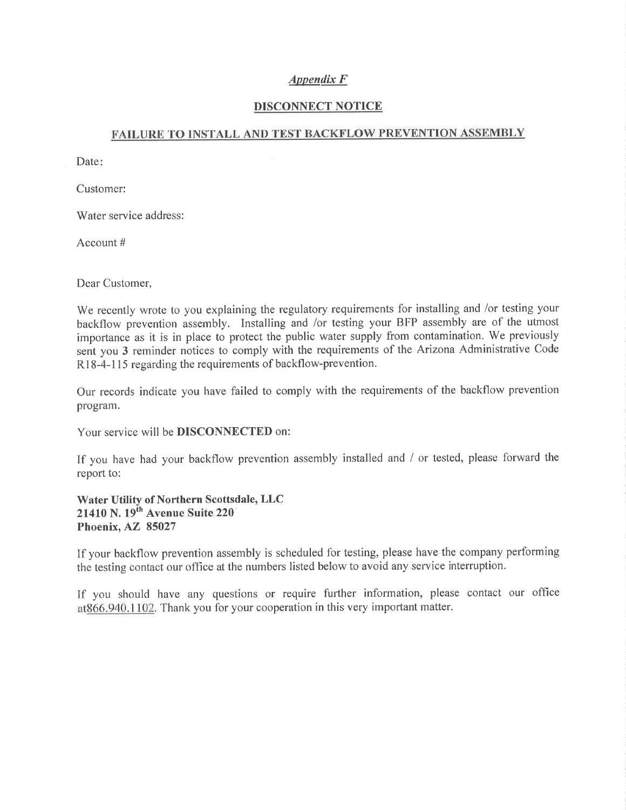## APPendíx F

#### DISCONNECT NOTICE

#### FAILURE TO INSTALL AND TEST BACKFLOW PREVENTION ASSEMBLY

Date:

Customer:

Water service address:

Account #

Dear Customer,

We recently wrote to you explaining the regulatory requirements for installing and /or testing your backflow prevention assembly. Installing and /or testing your BFP assembly are of the utmost importance as it is in place to protect the public water supply from contamination. We previously sent you 3 reminder notices to comply with the requirements of the Arizona Administrative Code R<sub>18-4-115</sub> regarding the requirements of backflow-prevention.

Our records indicate you have failed to comply with the requirements of the backflow prevention program.

Your service will be DISCONNECTED on:

If you have had your backflow prevention assembly installed and / or tested, please forward the report to:

Water Utility of Northern Scottsdale, LLC  $21410$  N.  $19<sup>th</sup>$  Avenue Suite 220 Phoenix, AZ 85027 ^Z

If your backflow prevention assembly is scheduled for testing, please have the company performing the testing contact our office at the numbers listed below to avoid any service interruption.

If you should have any questions or require further information, please contact our offìce at866.940.1102. Thank you for your cooperation in this very important matter.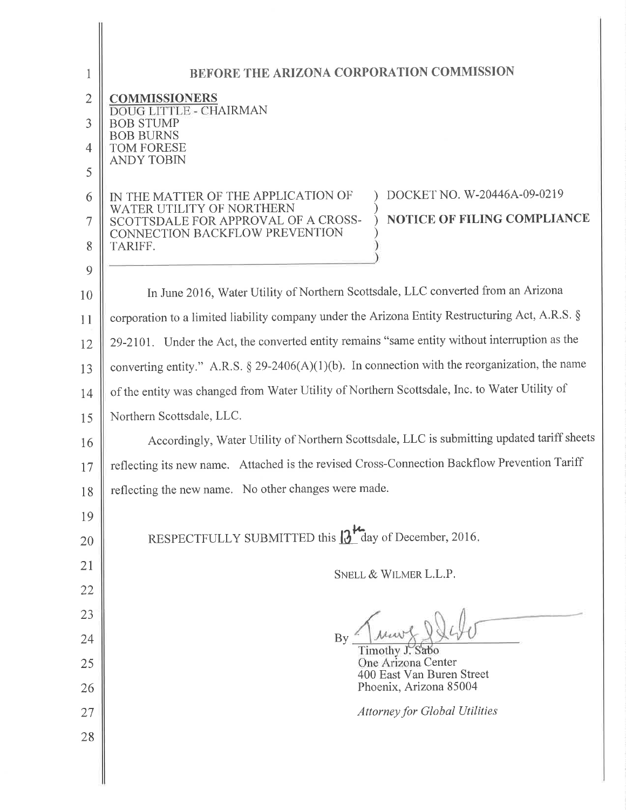| 1              | BEFORE THE ARIZONA CORPORATION COMMISSION                                                                                                |
|----------------|------------------------------------------------------------------------------------------------------------------------------------------|
| $\overline{2}$ | <b>COMMISSIONERS</b>                                                                                                                     |
| 3              | DOUG LITTLE - CHAIRMAN<br>BOB STUMP                                                                                                      |
| $\overline{4}$ | <b>BOB BURNS</b><br>TOM FORESE                                                                                                           |
| 5              | <b>ANDY TOBIN</b>                                                                                                                        |
| 6              | DOCKET NO. W-20446A-09-0219<br>IN THE MATTER OF THE APPLICATION OF                                                                       |
| 7              | WATER UTILITY OF NORTHERN<br><b>NOTICE OF FILING COMPLIANCE</b><br>SCOTTSDALE FOR APPROVAL OF A CROSS-<br>CONNECTION BACKFLOW PREVENTION |
| 8              | TARIFF.                                                                                                                                  |
| 9              |                                                                                                                                          |
| 10             | In June 2016, Water Utility of Northern Scottsdale, LLC converted from an Arizona                                                        |
| 11             | corporation to a limited liability company under the Arizona Entity Restructuring Act, A.R.S. §                                          |
| 12             | 29-2101. Under the Act, the converted entity remains "same entity without interruption as the                                            |
| 13             | converting entity." A.R.S. § 29-2406(A)(1)(b). In connection with the reorganization, the name                                           |
| 14             | of the entity was changed from Water Utility of Northern Scottsdale, Inc. to Water Utility of                                            |
| 15             | Northern Scottsdale, LLC.                                                                                                                |
| 16             | Accordingly, Water Utility of Northern Scottsdale, LLC is submitting updated tariff sheets                                               |
| 17             | reflecting its new name. Attached is the revised Cross-Connection Backflow Prevention Tariff                                             |
| 18             | reflecting the new name. No other changes were made.                                                                                     |
| 19             |                                                                                                                                          |
| 20             | RESPECTFULLY SUBMITTED this $13^{\frac{1}{2}}$ day of December, 2016.                                                                    |
| 21             | SNELL & WILMER L.L.P.                                                                                                                    |
| 22             |                                                                                                                                          |
| 23             |                                                                                                                                          |
| 24             | By                                                                                                                                       |
| 25             | Timothy J. Sabo<br>One Arizona Center                                                                                                    |
| 26             | 400 East Van Buren Street<br>Phoenix, Arizona 85004                                                                                      |
| 27             | <b>Attorney for Global Utilities</b>                                                                                                     |
| 28             |                                                                                                                                          |
|                |                                                                                                                                          |
|                |                                                                                                                                          |